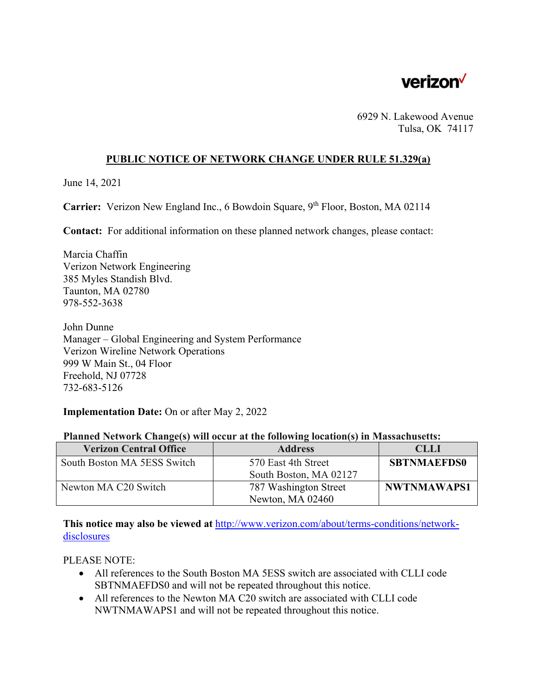

6929 N. Lakewood Avenue Tulsa, OK 74117

## **PUBLIC NOTICE OF NETWORK CHANGE UNDER RULE 51.329(a)**

June 14, 2021

Carrier: Verizon New England Inc., 6 Bowdoin Square, 9<sup>th</sup> Floor, Boston, MA 02114

**Contact:** For additional information on these planned network changes, please contact:

Marcia Chaffin Verizon Network Engineering 385 Myles Standish Blvd. Taunton, MA 02780 978-552-3638

John Dunne Manager – Global Engineering and System Performance Verizon Wireline Network Operations 999 W Main St., 04 Floor Freehold, NJ 07728 732-683-5126

**Implementation Date:** On or after May 2, 2022

|  |  |  |  | Planned Network Change(s) will occur at the following location(s) in Massachusetts: |
|--|--|--|--|-------------------------------------------------------------------------------------|
|  |  |  |  |                                                                                     |

| <b>Verizon Central Office</b> | <b>Address</b>         | <b>CLLI</b>        |
|-------------------------------|------------------------|--------------------|
| South Boston MA 5ESS Switch   | 570 East 4th Street    | <b>SBTNMAEFDS0</b> |
|                               | South Boston, MA 02127 |                    |
| Newton MA C20 Switch          | 787 Washington Street  | <b>NWTNMAWAPS1</b> |
|                               | Newton, MA 02460       |                    |

**This notice may also be viewed at** http://www.verizon.com/about/terms-conditions/networkdisclosures

PLEASE NOTE:

- All references to the South Boston MA 5ESS switch are associated with CLLI code SBTNMAEFDS0 and will not be repeated throughout this notice.
- All references to the Newton MA C20 switch are associated with CLLI code NWTNMAWAPS1 and will not be repeated throughout this notice.